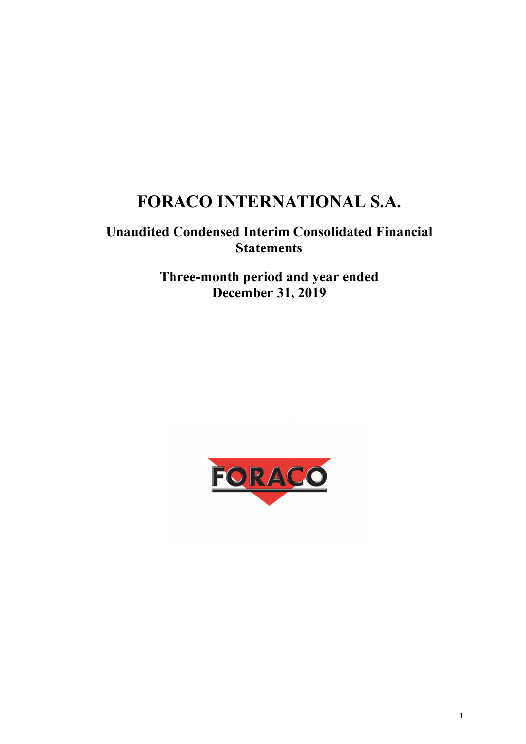# **FORACO INTERNATIONAL S.A.**

## **Unaudited Condensed Interim Consolidated Financial Statements**

**Three-month period and year ended December 31, 2019** 

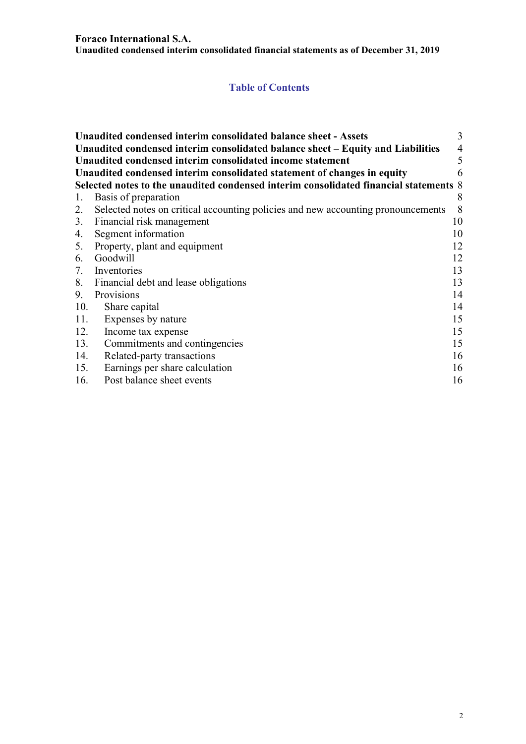#### **Foraco International S.A.**

**Unaudited condensed interim consolidated financial statements as of December 31, 2019** 

## **Table of Contents**

|     | Unaudited condensed interim consolidated balance sheet - Assets                       | 3              |
|-----|---------------------------------------------------------------------------------------|----------------|
|     | Unaudited condensed interim consolidated balance sheet – Equity and Liabilities       | $\overline{4}$ |
|     | Unaudited condensed interim consolidated income statement                             | 5              |
|     | Unaudited condensed interim consolidated statement of changes in equity               | 6              |
|     | Selected notes to the unaudited condensed interim consolidated financial statements 8 |                |
| 1.  | Basis of preparation                                                                  | 8              |
| 2.  | Selected notes on critical accounting policies and new accounting pronouncements      | 8              |
|     | 3. Financial risk management                                                          | 10             |
| 4.  | Segment information                                                                   | 10             |
|     | 5. Property, plant and equipment                                                      | 12             |
| 6.  | Goodwill                                                                              | 12             |
| 7.  | Inventories                                                                           | 13             |
|     | 8. Financial debt and lease obligations                                               | 13             |
| 9.  | Provisions                                                                            | 14             |
| 10. | Share capital                                                                         | 14             |
| 11. | Expenses by nature                                                                    | 15             |
| 12. | Income tax expense                                                                    | 15             |
| 13. | Commitments and contingencies                                                         | 15             |
| 14. | Related-party transactions                                                            | 16             |
| 15. | Earnings per share calculation                                                        | 16             |
| 16. | Post balance sheet events                                                             | 16             |
|     |                                                                                       |                |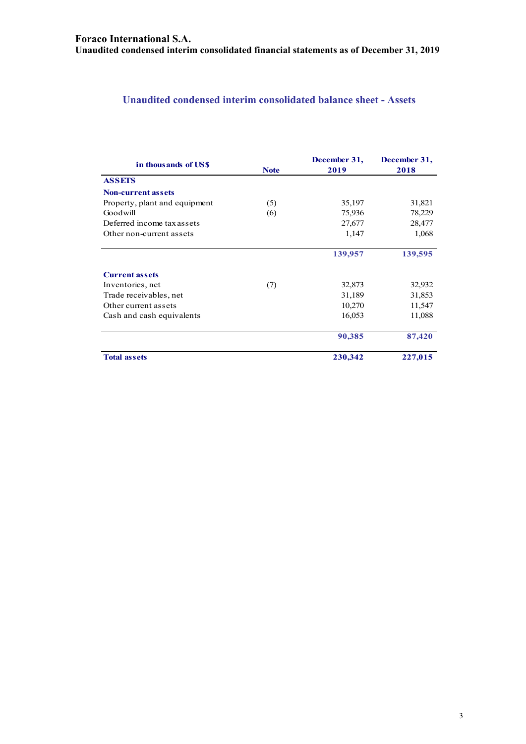## **Unaudited condensed interim consolidated balance sheet - Assets**

| in thousands of USS           | <b>Note</b> | December 31,<br>2019 | December 31,<br>2018 |
|-------------------------------|-------------|----------------------|----------------------|
| <b>ASSETS</b>                 |             |                      |                      |
| <b>Non-current assets</b>     |             |                      |                      |
| Property, plant and equipment | (5)         | 35,197               | 31,821               |
| Goodwill                      | (6)         | 75,936               | 78,229               |
| Deferred income tax assets    |             | 27,677               | 28,477               |
| Other non-current assets      |             | 1,147                | 1,068                |
|                               |             | 139,957              | 139,595              |
| <b>Current assets</b>         |             |                      |                      |
| Inventories, net              | (7)         | 32,873               | 32,932               |
| Trade receivables, net        |             | 31,189               | 31,853               |
| Other current assets          |             | 10,270               | 11,547               |
| Cash and cash equivalents     |             | 16,053               | 11,088               |
|                               |             | 90,385               | 87,420               |
| <b>Total assets</b>           |             | 230,342              | 227,015              |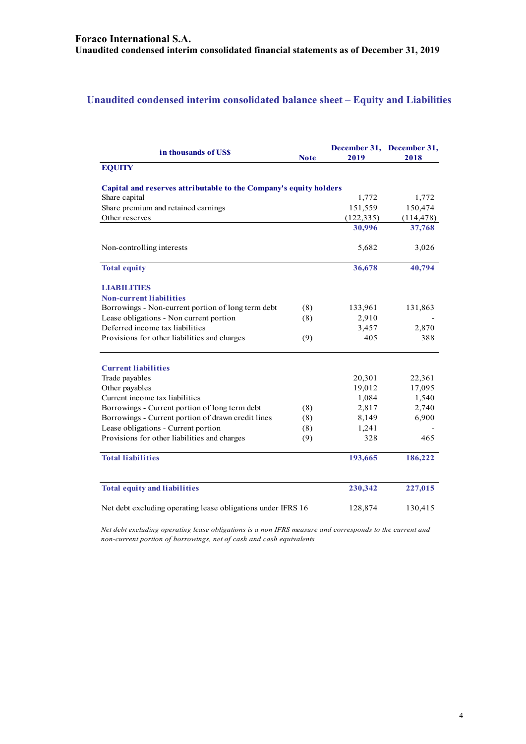## **Unaudited condensed interim consolidated balance sheet – Equity and Liabilities**

| in thousands of US\$                                              | <b>Note</b> | 2019       | December 31, December 31,<br>2018 |
|-------------------------------------------------------------------|-------------|------------|-----------------------------------|
| <b>EQUITY</b>                                                     |             |            |                                   |
| Capital and reserves attributable to the Company's equity holders |             |            |                                   |
| Share capital                                                     |             | 1,772      | 1,772                             |
| Share premium and retained earnings                               |             | 151,559    | 150,474                           |
| Other reserves                                                    |             | (122, 335) | (114, 478)                        |
|                                                                   |             | 30,996     | 37,768                            |
| Non-controlling interests                                         |             | 5,682      | 3,026                             |
| <b>Total equity</b>                                               |             | 36,678     | 40,794                            |
| <b>LIABILITIES</b>                                                |             |            |                                   |
| <b>Non-current liabilities</b>                                    |             |            |                                   |
| Borrowings - Non-current portion of long term debt                | (8)         | 133,961    | 131,863                           |
| Lease obligations - Non current portion                           | (8)         | 2,910      |                                   |
| Deferred income tax liabilities                                   |             | 3,457      | 2,870                             |
| Provisions for other liabilities and charges                      | (9)         | 405        | 388                               |
| <b>Current liabilities</b>                                        |             |            |                                   |
| Trade payables                                                    |             | 20,301     | 22,361                            |
| Other payables                                                    |             | 19,012     | 17,095                            |
| Current income tax liabilities                                    |             | 1,084      | 1,540                             |
| Borrowings - Current portion of long term debt                    | (8)         | 2,817      | 2,740                             |
| Borrowings - Current portion of drawn credit lines                | (8)         | 8,149      | 6,900                             |
| Lease obligations - Current portion                               | (8)         | 1,241      |                                   |
| Provisions for other liabilities and charges                      | (9)         | 328        | 465                               |
| <b>Total liabilities</b>                                          |             | 193,665    | 186,222                           |
| <b>Total equity and liabilities</b>                               |             | 230,342    | 227,015                           |
| Net debt excluding operating lease obligations under IFRS 16      |             | 128,874    | 130,415                           |

*Net debt excluding operating lease obligations is a non IFRS measure and corresponds to the current and non-current portion of borrowings, net of cash and cash equivalents*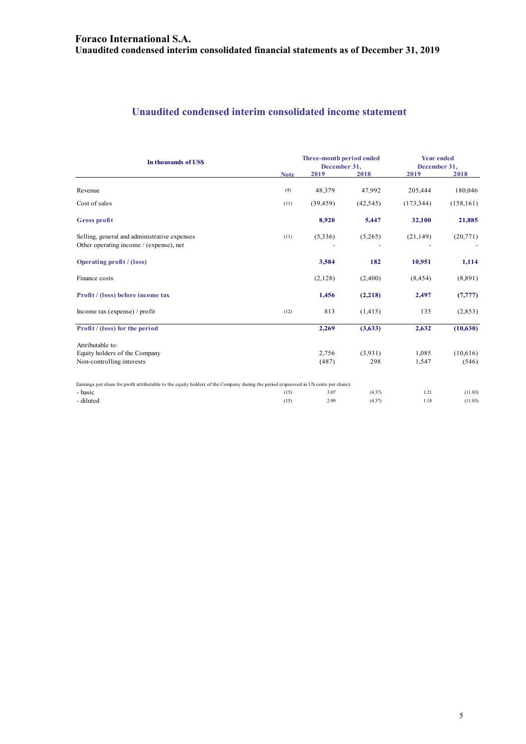## **Unaudited condensed interim consolidated income statement**

| In thousands of US\$                                                                                                                 |             | Three-month period ended<br>December 31, |           | <b>Year ended</b><br>December 31, |            |
|--------------------------------------------------------------------------------------------------------------------------------------|-------------|------------------------------------------|-----------|-----------------------------------|------------|
|                                                                                                                                      | <b>Note</b> | 2019                                     | 2018      | 2019                              | 2018       |
| Revenue                                                                                                                              | (4)         | 48,379                                   | 47,992    | 205,444                           | 180,046    |
| Cost of sales                                                                                                                        | (11)        | (39, 459)                                | (42, 545) | (173, 344)                        | (158, 161) |
| <b>Gross profit</b>                                                                                                                  |             | 8,920                                    | 5,447     | 32,100                            | 21,885     |
| Selling, general and administrative expenses<br>Other operating income / (expense), net                                              | (11)        | (5,336)                                  | (5,265)   | (21, 149)                         | (20,771)   |
| <b>Operating profit / (loss)</b>                                                                                                     |             | 3,584                                    | 182       | 10,951                            | 1,114      |
| Finance costs                                                                                                                        |             | (2,128)                                  | (2,400)   | (8, 454)                          | (8,891)    |
| Profit / (loss) before income tax                                                                                                    |             | 1,456                                    | (2,218)   | 2,497                             | (7, 777)   |
| Income tax (expense) / profit                                                                                                        | (12)        | 813                                      | (1, 415)  | 135                               | (2,853)    |
| Profit / (loss) for the period                                                                                                       |             | 2,269                                    | (3,633)   | 2,632                             | (10,630)   |
| Attributable to:<br>Equity holders of the Company                                                                                    |             | 2.756                                    | (3,931)   | 1,085                             | (10,616)   |
| Non-controlling interests                                                                                                            |             | (487)                                    | 298       | 1,547                             | (546)      |
| Earnings per share for profit attributable to the equity holders of the Company during the period (expressed in US cents per share): |             |                                          |           |                                   |            |
| - basic                                                                                                                              | (15)        | 3.07                                     | (4.37)    | 1.21                              | (11.83)    |
| - diluted                                                                                                                            | (15)        | 2.99                                     | (4.37)    | 1.18                              | (11.83)    |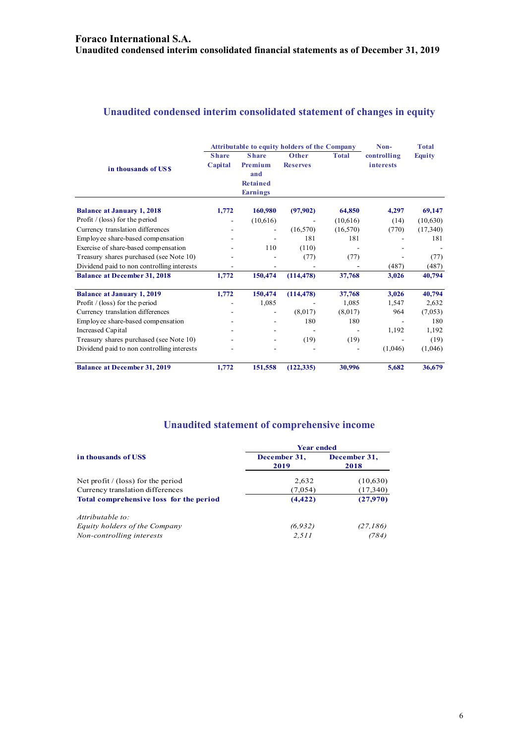## **Unaudited condensed interim consolidated statement of changes in equity**

|                                            | <b>Attributable to equity holders of the Company</b> |                                                                      |                          |              | Non-                            | <b>Total</b>  |
|--------------------------------------------|------------------------------------------------------|----------------------------------------------------------------------|--------------------------|--------------|---------------------------------|---------------|
| in thousands of USS                        | <b>Share</b><br>Capital                              | <b>Share</b><br>Premium<br>and<br><b>Retained</b><br><b>Earnings</b> | Other<br><b>Reserves</b> | <b>Total</b> | controlling<br><i>interests</i> | <b>Equity</b> |
| <b>Balance at January 1, 2018</b>          | 1,772                                                | 160,980                                                              | (97,902)                 | 64,850       | 4,297                           | 69,147        |
| Profit / (loss) for the period             |                                                      | (10,616)                                                             |                          | (10,616)     | (14)                            | (10,630)      |
| Currency translation differences           |                                                      | $\overline{\phantom{0}}$                                             | (16, 570)                | (16, 570)    | (770)                           | (17,340)      |
| Employee share-based compensation          |                                                      |                                                                      | 181                      | 181          |                                 | 181           |
| Exercise of share-based compensation       |                                                      | 110                                                                  | (110)                    |              |                                 |               |
| Treasury shares purchased (see Note 10)    |                                                      |                                                                      | (77)                     | (77)         |                                 | (77)          |
| Dividend paid to non controlling interests |                                                      |                                                                      |                          |              | (487)                           | (487)         |
| <b>Balance at December 31, 2018</b>        | 1,772                                                | 150,474                                                              | (114, 478)               | 37,768       | 3,026                           | 40,794        |
| <b>Balance at January 1, 2019</b>          | 1,772                                                | 150,474                                                              | (114, 478)               | 37,768       | 3,026                           | 40,794        |
| Profit $/$ (loss) for the period           |                                                      | 1,085                                                                |                          | 1,085        | 1,547                           | 2,632         |
| Currency translation differences           |                                                      | $\overline{\phantom{0}}$                                             | (8,017)                  | (8,017)      | 964                             | (7,053)       |
| Employee share-based compensation          |                                                      |                                                                      | 180                      | 180          |                                 | 180           |
| Increased Capital                          |                                                      |                                                                      |                          |              | 1,192                           | 1,192         |
| Treasury shares purchased (see Note 10)    |                                                      |                                                                      | (19)                     | (19)         |                                 | (19)          |
| Dividend paid to non controlling interests |                                                      |                                                                      |                          |              | (1,046)                         | (1,046)       |
| <b>Balance at December 31, 2019</b>        | 1,772                                                | 151,558                                                              | (122, 335)               | 30,996       | 5,682                           | 36,679        |

## **Unaudited statement of comprehensive income**

| <b>Year ended</b>    |                      |  |  |  |
|----------------------|----------------------|--|--|--|
| December 31,<br>2019 | December 31,<br>2018 |  |  |  |
| 2,632                | (10,630)             |  |  |  |
| (7,054)              | (17,340)             |  |  |  |
| (4, 422)             | (27,970)             |  |  |  |
|                      |                      |  |  |  |
| (6, 932)             | (27, 186)            |  |  |  |
| 2,511                | (784)                |  |  |  |
|                      |                      |  |  |  |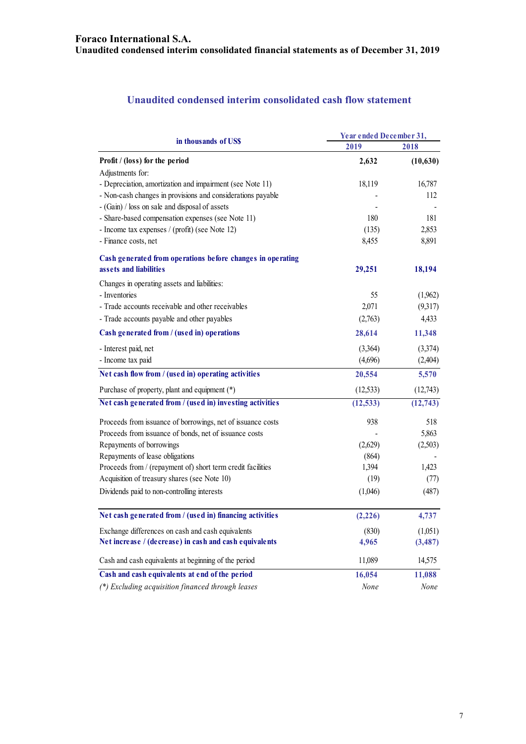## **Unaudited condensed interim consolidated cash flow statement**

| in thousands of US\$                                                                                        | Year ended December 31, |           |  |
|-------------------------------------------------------------------------------------------------------------|-------------------------|-----------|--|
|                                                                                                             | 2019                    | 2018      |  |
| Profit / (loss) for the period                                                                              | 2,632                   | (10,630)  |  |
| Adjustments for:                                                                                            |                         |           |  |
| - Depreciation, amortization and impairment (see Note 11)                                                   | 18,119                  | 16,787    |  |
| - Non-cash changes in provisions and considerations payable                                                 |                         | 112       |  |
| - (Gain) / loss on sale and disposal of assets                                                              |                         |           |  |
| - Share-based compensation expenses (see Note 11)                                                           | 180                     | 181       |  |
| - Income tax expenses / (profit) (see Note 12)                                                              | (135)                   | 2,853     |  |
| - Finance costs, net                                                                                        | 8,455                   | 8,891     |  |
| Cash generated from operations before changes in operating                                                  |                         |           |  |
| assets and liabilities                                                                                      | 29,251                  | 18,194    |  |
| Changes in operating assets and liabilities:                                                                |                         |           |  |
| - Inventories                                                                                               | 55                      | (1,962)   |  |
| - Trade accounts receivable and other receivables                                                           | 2,071                   | (9,317)   |  |
| - Trade accounts payable and other payables                                                                 | (2,763)                 | 4,433     |  |
| Cash generated from / (used in) operations                                                                  | 28,614                  | 11,348    |  |
| - Interest paid, net                                                                                        | (3,364)                 | (3,374)   |  |
| - Income tax paid                                                                                           | (4,696)                 | (2,404)   |  |
| Net cash flow from / (used in) operating activities                                                         | 20,554                  | 5,570     |  |
| Purchase of property, plant and equipment (*)                                                               | (12, 533)               | (12,743)  |  |
| Net cash generated from / (used in) investing activities                                                    | (12, 533)               | (12, 743) |  |
| Proceeds from issuance of borrowings, net of issuance costs                                                 | 938                     | 518       |  |
| Proceeds from issuance of bonds, net of issuance costs                                                      |                         | 5,863     |  |
| Repayments of borrowings                                                                                    | (2,629)                 | (2,503)   |  |
| Repayments of lease obligations                                                                             | (864)                   |           |  |
| Proceeds from / (repayment of) short term credit facilities                                                 | 1,394                   | 1,423     |  |
| Acquisition of treasury shares (see Note 10)                                                                | (19)                    | (77)      |  |
| Dividends paid to non-controlling interests                                                                 | (1,046)                 | (487)     |  |
| Net cash generated from / (used in) financing activities                                                    | (2,226)                 | 4,737     |  |
|                                                                                                             |                         |           |  |
| Exchange differences on cash and cash equivalents<br>Net increase / (decrease) in cash and cash equivalents | (830)<br>4,965          | (1,051)   |  |
|                                                                                                             |                         | (3, 487)  |  |
| Cash and cash equivalents at beginning of the period                                                        | 11,089                  | 14,575    |  |
| Cash and cash equivalents at end of the period                                                              | 16,054                  | 11,088    |  |
| (*) Excluding acquisition financed through leases                                                           | None                    | None      |  |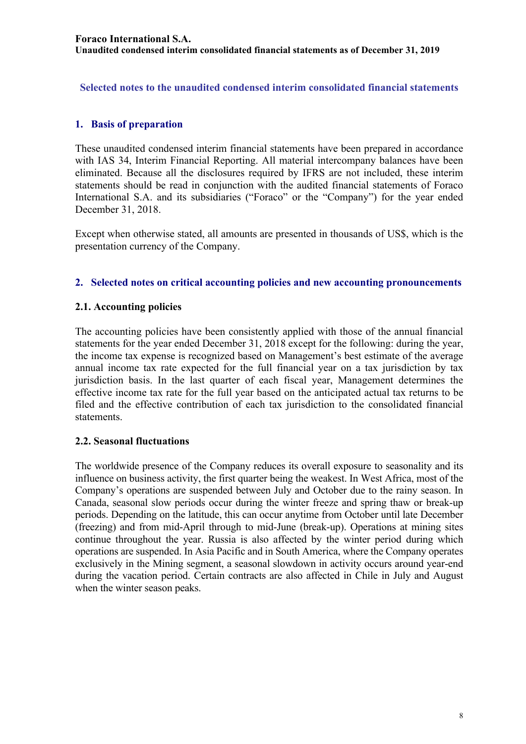**Selected notes to the unaudited condensed interim consolidated financial statements** 

## **1. Basis of preparation**

These unaudited condensed interim financial statements have been prepared in accordance with IAS 34, Interim Financial Reporting. All material intercompany balances have been eliminated. Because all the disclosures required by IFRS are not included, these interim statements should be read in conjunction with the audited financial statements of Foraco International S.A. and its subsidiaries ("Foraco" or the "Company") for the year ended December 31, 2018.

Except when otherwise stated, all amounts are presented in thousands of US\$, which is the presentation currency of the Company.

## **2. Selected notes on critical accounting policies and new accounting pronouncements**

## **2.1. Accounting policies**

The accounting policies have been consistently applied with those of the annual financial statements for the year ended December 31, 2018 except for the following: during the year, the income tax expense is recognized based on Management's best estimate of the average annual income tax rate expected for the full financial year on a tax jurisdiction by tax jurisdiction basis. In the last quarter of each fiscal year, Management determines the effective income tax rate for the full year based on the anticipated actual tax returns to be filed and the effective contribution of each tax jurisdiction to the consolidated financial statements.

## **2.2. Seasonal fluctuations**

The worldwide presence of the Company reduces its overall exposure to seasonality and its influence on business activity, the first quarter being the weakest. In West Africa, most of the Company's operations are suspended between July and October due to the rainy season. In Canada, seasonal slow periods occur during the winter freeze and spring thaw or break-up periods. Depending on the latitude, this can occur anytime from October until late December (freezing) and from mid-April through to mid-June (break-up). Operations at mining sites continue throughout the year. Russia is also affected by the winter period during which operations are suspended. In Asia Pacific and in South America, where the Company operates exclusively in the Mining segment, a seasonal slowdown in activity occurs around year-end during the vacation period. Certain contracts are also affected in Chile in July and August when the winter season peaks.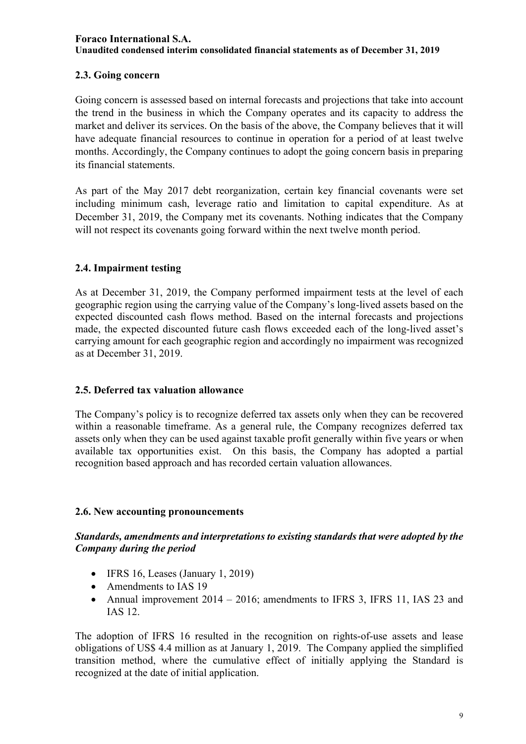## **2.3. Going concern**

Going concern is assessed based on internal forecasts and projections that take into account the trend in the business in which the Company operates and its capacity to address the market and deliver its services. On the basis of the above, the Company believes that it will have adequate financial resources to continue in operation for a period of at least twelve months. Accordingly, the Company continues to adopt the going concern basis in preparing its financial statements.

As part of the May 2017 debt reorganization, certain key financial covenants were set including minimum cash, leverage ratio and limitation to capital expenditure. As at December 31, 2019, the Company met its covenants. Nothing indicates that the Company will not respect its covenants going forward within the next twelve month period.

## **2.4. Impairment testing**

As at December 31, 2019, the Company performed impairment tests at the level of each geographic region using the carrying value of the Company's long-lived assets based on the expected discounted cash flows method. Based on the internal forecasts and projections made, the expected discounted future cash flows exceeded each of the long-lived asset's carrying amount for each geographic region and accordingly no impairment was recognized as at December 31, 2019.

## **2.5. Deferred tax valuation allowance**

The Company's policy is to recognize deferred tax assets only when they can be recovered within a reasonable timeframe. As a general rule, the Company recognizes deferred tax assets only when they can be used against taxable profit generally within five years or when available tax opportunities exist. On this basis, the Company has adopted a partial recognition based approach and has recorded certain valuation allowances.

## **2.6. New accounting pronouncements**

## *Standards, amendments and interpretations to existing standards that were adopted by the Company during the period*

- $\bullet$  IFRS 16, Leases (January 1, 2019)
- Amendments to IAS 19
- Annual improvement 2014 2016; amendments to IFRS 3, IFRS 11, IAS 23 and IAS 12.

The adoption of IFRS 16 resulted in the recognition on rights-of-use assets and lease obligations of US\$ 4.4 million as at January 1, 2019. The Company applied the simplified transition method, where the cumulative effect of initially applying the Standard is recognized at the date of initial application.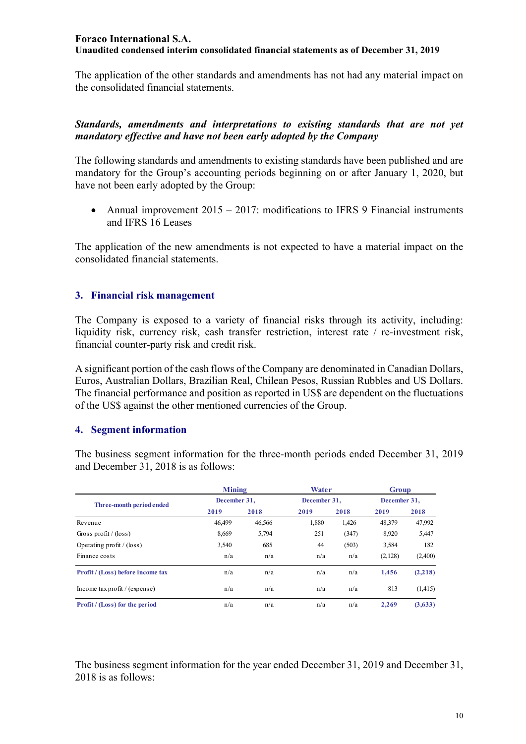The application of the other standards and amendments has not had any material impact on the consolidated financial statements.

## *Standards, amendments and interpretations to existing standards that are not yet mandatory effective and have not been early adopted by the Company*

The following standards and amendments to existing standards have been published and are mandatory for the Group's accounting periods beginning on or after January 1, 2020, but have not been early adopted by the Group:

• Annual improvement  $2015 - 2017$ : modifications to IFRS 9 Financial instruments and IFRS 16 Leases

The application of the new amendments is not expected to have a material impact on the consolidated financial statements.

## **3. Financial risk management**

The Company is exposed to a variety of financial risks through its activity, including: liquidity risk, currency risk, cash transfer restriction, interest rate / re-investment risk, financial counter-party risk and credit risk.

A significant portion of the cash flows of the Company are denominated in Canadian Dollars, Euros, Australian Dollars, Brazilian Real, Chilean Pesos, Russian Rubbles and US Dollars. The financial performance and position as reported in US\$ are dependent on the fluctuations of the US\$ against the other mentioned currencies of the Group.

## **4. Segment information**

The business segment information for the three-month periods ended December 31, 2019 and December 31, 2018 is as follows:

|                                       | <b>Mining</b> |        | <b>Water</b> |       | Group        |         |
|---------------------------------------|---------------|--------|--------------|-------|--------------|---------|
| Three-month period ended              | December 31,  |        | December 31, |       | December 31, |         |
|                                       | 2019          | 2018   | 2019         | 2018  | 2019         | 2018    |
| Revenue                               | 46.499        | 46.566 | 1,880        | 1,426 | 48,379       | 47,992  |
| Gross profit $/$ (loss)               | 8,669         | 5,794  | 251          | (347) | 8,920        | 5,447   |
| Operating profit $/$ (loss)           | 3,540         | 685    | 44           | (503) | 3,584        | 182     |
| Finance costs                         | n/a           | n/a    | n/a          | n/a   | (2,128)      | (2,400) |
| Profit / (Loss) before income tax     | n/a           | n/a    | n/a          | n/a   | 1,456        | (2,218) |
| Income tax profit / (expense)         | n/a           | n/a    | n/a          | n/a   | 813          | (1,415) |
| <b>Profit</b> / (Loss) for the period | n/a           | n/a    | n/a          | n/a   | 2.269        | (3,633) |

The business segment information for the year ended December 31, 2019 and December 31, 2018 is as follows: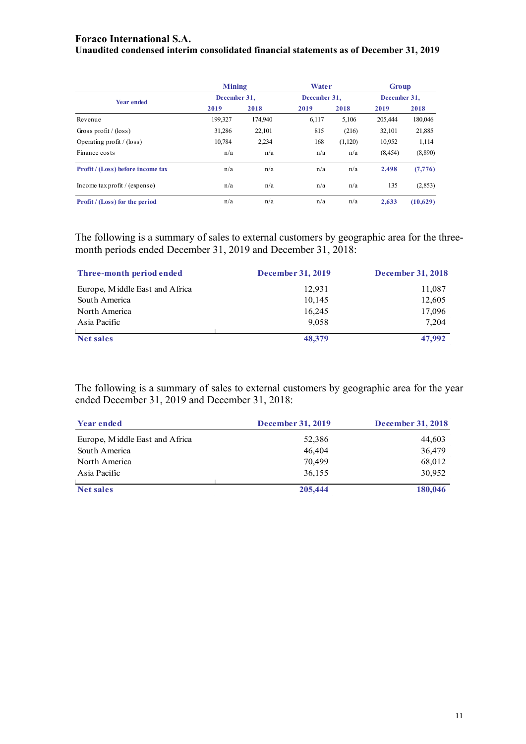#### **Foraco International S.A.**

**Unaudited condensed interim consolidated financial statements as of December 31, 2019** 

|                                       | <b>Mining</b> |              | Water |              | Group    |              |
|---------------------------------------|---------------|--------------|-------|--------------|----------|--------------|
| <b>Year ended</b>                     |               | December 31, |       | December 31. |          | December 31, |
|                                       | 2019          | 2018         | 2019  | 2018         | 2019     | 2018         |
| Revenue                               | 199,327       | 174,940      | 6.117 | 5,106        | 205,444  | 180,046      |
| Gross profit / $(\text{loss})$        | 31.286        | 22,101       | 815   | (216)        | 32,101   | 21,885       |
| Operating profit $/$ (loss)           | 10,784        | 2,234        | 168   | (1,120)      | 10,952   | 1,114        |
| Finance costs                         | n/a           | n/a          | n/a   | n/a          | (8, 454) | (8,890)      |
| Profit / (Loss) before income tax     | n/a           | n/a          | n/a   | n/a          | 2,498    | (7, 776)     |
| Income tax profit / (expense)         | n/a           | n/a          | n/a   | n/a          | 135      | (2,853)      |
| <b>Profit</b> / (Loss) for the period | n/a           | n/a          | n/a   | n/a          | 2.633    | (10,629)     |

The following is a summary of sales to external customers by geographic area for the threemonth periods ended December 31, 2019 and December 31, 2018:

| Three-month period ended       | <b>December 31, 2019</b> | <b>December 31, 2018</b> |
|--------------------------------|--------------------------|--------------------------|
| Europe, Middle East and Africa | 12,931                   | 11,087                   |
| South America                  | 10,145                   | 12,605                   |
| North America                  | 16,245                   | 17,096                   |
| Asia Pacific                   | 9.058                    | 7.204                    |
| Net sales                      | 48,379                   | 47,992                   |

The following is a summary of sales to external customers by geographic area for the year ended December 31, 2019 and December 31, 2018:

| <b>Year ended</b>              | <b>December 31, 2019</b> | <b>December 31, 2018</b> |
|--------------------------------|--------------------------|--------------------------|
| Europe, Middle East and Africa | 52,386                   | 44,603                   |
| South America                  | 46,404                   | 36,479                   |
| North America                  | 70,499                   | 68,012                   |
| Asia Pacific                   | 36,155                   | 30,952                   |
| <b>Net sales</b>               | 205,444                  | 180,046                  |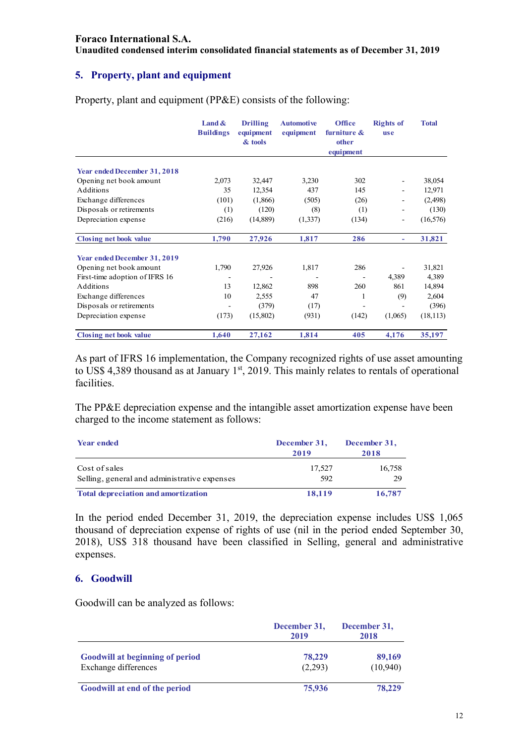#### **Foraco International S.A.**

**Unaudited condensed interim consolidated financial statements as of December 31, 2019** 

## **5. Property, plant and equipment**

|                                | Land $\&$<br><b>Buildings</b> | <b>Drilling</b><br>equipment<br>& tools | <b>Automotive</b><br>equipment | <b>Office</b><br>furniture $\&$<br>other | <b>Rights of</b><br><b>use</b> | <b>Total</b> |
|--------------------------------|-------------------------------|-----------------------------------------|--------------------------------|------------------------------------------|--------------------------------|--------------|
|                                |                               |                                         |                                | equipment                                |                                |              |
| Year ended December 31, 2018   |                               |                                         |                                |                                          |                                |              |
| Opening net book amount        | 2,073                         | 32,447                                  | 3,230                          | 302                                      | ۰                              | 38,054       |
| Additions                      | 35                            | 12,354                                  | 437                            | 145                                      | $\overline{\phantom{0}}$       | 12,971       |
| Exchange differences           | (101)                         | (1,866)                                 | (505)                          | (26)                                     |                                | (2,498)      |
| Disposals or retirements       | (1)                           | (120)                                   | (8)                            | (1)                                      |                                | (130)        |
| Depreciation expense           | (216)                         | (14,889)                                | (1,337)                        | (134)                                    | $\overline{\phantom{0}}$       | (16, 576)    |
| <b>Closing net book value</b>  | 1,790                         | 27,926                                  | 1,817                          | 286                                      | ٠                              | 31,821       |
| Year ended December 31, 2019   |                               |                                         |                                |                                          |                                |              |
| Opening net book amount        | 1,790                         | 27,926                                  | 1,817                          | 286                                      |                                | 31,821       |
| First-time adoption of IFRS 16 |                               |                                         |                                |                                          | 4,389                          | 4,389        |
| Additions                      | 13                            | 12,862                                  | 898                            | 260                                      | 861                            | 14,894       |
| Exchange differences           | 10                            | 2,555                                   | 47                             | 1                                        | (9)                            | 2,604        |
| Disposals or retirements       |                               | (379)                                   | (17)                           |                                          |                                | (396)        |
| Depreciation expense           | (173)                         | (15,802)                                | (931)                          | (142)                                    | (1,065)                        | (18, 113)    |
| <b>Closing net book value</b>  | 1,640                         | 27,162                                  | 1,814                          | 405                                      | 4,176                          | 35,197       |

Property, plant and equipment (PP&E) consists of the following:

As part of IFRS 16 implementation, the Company recognized rights of use asset amounting to US\$ 4,389 thousand as at January  $1<sup>st</sup>$ , 2019. This mainly relates to rentals of operational facilities.

The PP&E depreciation expense and the intangible asset amortization expense have been charged to the income statement as follows:

| <b>Year ended</b>                                             | December 31,<br>2019 | December 31,<br>2018 |  |
|---------------------------------------------------------------|----------------------|----------------------|--|
| Cost of sales<br>Selling, general and administrative expenses | 17.527<br>592        | 16,758<br>29         |  |
| <b>Total depreciation and amortization</b>                    | 18,119               | 16,787               |  |

In the period ended December 31, 2019, the depreciation expense includes US\$ 1,065 thousand of depreciation expense of rights of use (nil in the period ended September 30, 2018), US\$ 318 thousand have been classified in Selling, general and administrative expenses.

#### **6. Goodwill**

Goodwill can be analyzed as follows:

|                                                                | December 31,<br>2019 | December 31,<br>2018 |  |
|----------------------------------------------------------------|----------------------|----------------------|--|
| <b>Goodwill at beginning of period</b><br>Exchange differences | 78,229<br>(2,293)    | 89,169<br>(10,940)   |  |
| Goodwill at end of the period                                  | 75,936               | 78,229               |  |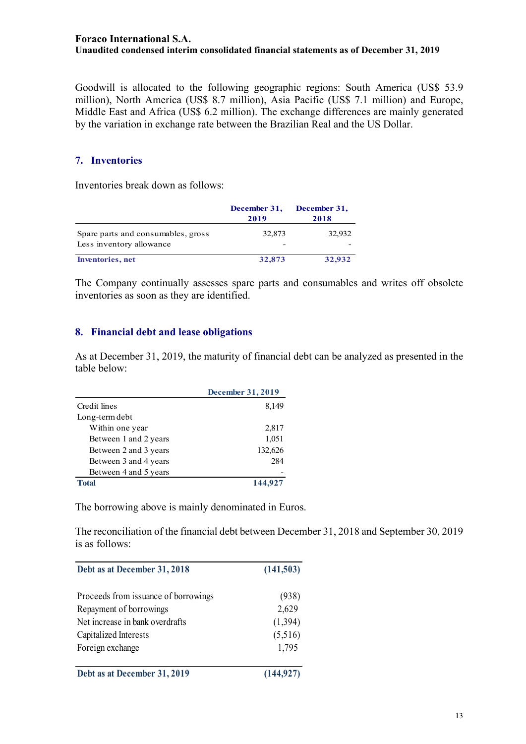Goodwill is allocated to the following geographic regions: South America (US\$ 53.9 million), North America (US\$ 8.7 million), Asia Pacific (US\$ 7.1 million) and Europe, Middle East and Africa (US\$ 6.2 million). The exchange differences are mainly generated by the variation in exchange rate between the Brazilian Real and the US Dollar.

## **7. Inventories**

Inventories break down as follows:

|                                                                | December 31,<br>2019 | December 31,<br>2018 |
|----------------------------------------------------------------|----------------------|----------------------|
| Spare parts and consumables, gross<br>Less inventory allowance | 32,873               | 32,932               |
| <b>Inventories</b> , net                                       | 32,873               | 32,932               |

The Company continually assesses spare parts and consumables and writes off obsolete inventories as soon as they are identified.

#### **8. Financial debt and lease obligations**

As at December 31, 2019, the maturity of financial debt can be analyzed as presented in the table below:

|                       | December 31, 2019 |
|-----------------------|-------------------|
| Credit lines          | 8,149             |
| Long-term debt        |                   |
| Within one year       | 2,817             |
| Between 1 and 2 years | 1,051             |
| Between 2 and 3 years | 132,626           |
| Between 3 and 4 years | 284               |
| Between 4 and 5 years |                   |
| Total                 | 144,927           |

The borrowing above is mainly denominated in Euros.

The reconciliation of the financial debt between December 31, 2018 and September 30, 2019 is as follows:

| Debt as at December 31, 2018         | (141,503)  |  |  |
|--------------------------------------|------------|--|--|
| Proceeds from issuance of borrowings | (938)      |  |  |
| Repayment of borrowings              | 2,629      |  |  |
| Net increase in bank overdrafts      | (1, 394)   |  |  |
| Capitalized Interests                | (5,516)    |  |  |
| Foreign exchange                     | 1,795      |  |  |
| Debt as at December 31, 2019         | (144, 927) |  |  |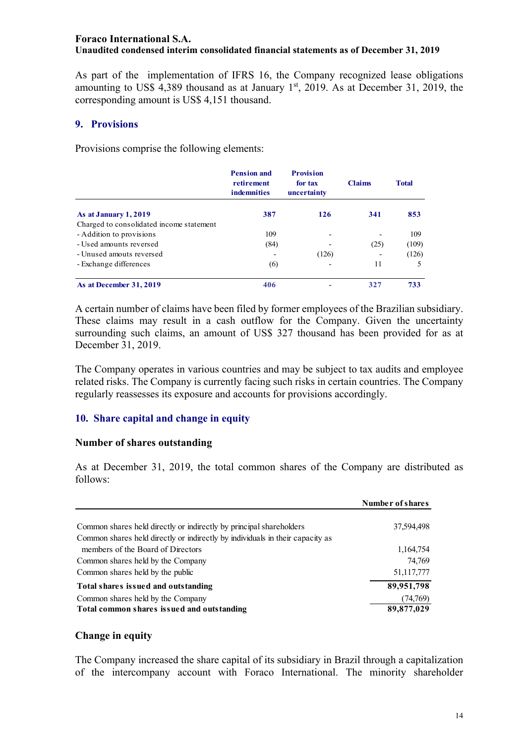As part of the implementation of IFRS 16, the Company recognized lease obligations amounting to US\$ 4,389 thousand as at January  $1<sup>st</sup>$ , 2019. As at December 31, 2019, the corresponding amount is US\$ 4,151 thousand.

## **9. Provisions**

Provisions comprise the following elements:

|                                          | <b>Pension and</b><br>retirement<br><b>indemnities</b> | <b>Provision</b><br>for tax<br>uncertainty | <b>Claims</b> | <b>Total</b> |
|------------------------------------------|--------------------------------------------------------|--------------------------------------------|---------------|--------------|
| As at January 1, 2019                    | 387                                                    | 126                                        | 341           | 853          |
| Charged to consolidated income statement |                                                        |                                            |               |              |
| - Addition to provisions                 | 109                                                    |                                            |               | 109          |
| - Used amounts reversed                  | (84)                                                   |                                            | (25)          | (109)        |
| - Unused amouts reversed                 |                                                        | (126)                                      |               | (126)        |
| - Exchange differences                   | (6)                                                    |                                            | 11            | 5            |
| As at December 31, 2019                  | 406                                                    |                                            | 327           | 733          |

A certain number of claims have been filed by former employees of the Brazilian subsidiary. These claims may result in a cash outflow for the Company. Given the uncertainty surrounding such claims, an amount of US\$ 327 thousand has been provided for as at December 31, 2019.

The Company operates in various countries and may be subject to tax audits and employee related risks. The Company is currently facing such risks in certain countries. The Company regularly reassesses its exposure and accounts for provisions accordingly.

## **10. Share capital and change in equity**

## **Number of shares outstanding**

As at December 31, 2019, the total common shares of the Company are distributed as follows:

|                                                                               | Number of shares |
|-------------------------------------------------------------------------------|------------------|
| Common shares held directly or indirectly by principal shareholders           | 37,594,498       |
| Common shares held directly or indirectly by individuals in their capacity as |                  |
| members of the Board of Directors                                             | 1,164,754        |
| Common shares held by the Company                                             | 74,769           |
| Common shares held by the public                                              | 51,117,777       |
| Total shares issued and outstanding                                           | 89,951,798       |
| Common shares held by the Company                                             | (74, 769)        |
| Total common shares issued and outstanding                                    | 89,877,029       |

## **Change in equity**

The Company increased the share capital of its subsidiary in Brazil through a capitalization of the intercompany account with Foraco International. The minority shareholder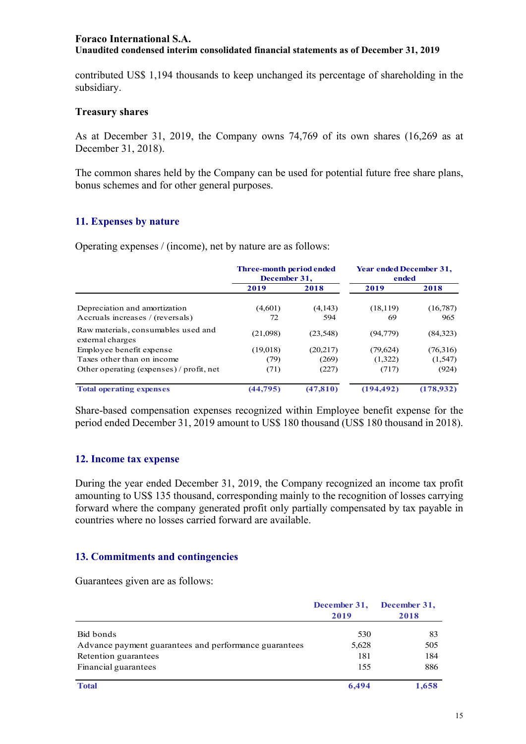contributed US\$ 1,194 thousands to keep unchanged its percentage of shareholding in the subsidiary.

#### **Treasury shares**

As at December 31, 2019, the Company owns 74,769 of its own shares (16,269 as at December 31, 2018).

The common shares held by the Company can be used for potential future free share plans, bonus schemes and for other general purposes.

## **11. Expenses by nature**

Operating expenses / (income), net by nature are as follows:

|                                                                   | <b>Three-month period ended</b><br>December 31, |                | <b>Year ended December 31,</b><br>ended |                 |
|-------------------------------------------------------------------|-------------------------------------------------|----------------|-----------------------------------------|-----------------|
|                                                                   | 2019                                            | 2018           | 2019                                    | 2018            |
| Depreciation and amortization<br>Accruals increases / (reversals) | (4,601)<br>72                                   | (4,143)<br>594 | (18, 119)<br>69                         | (16,787)<br>965 |
| Raw materials, consumables used and<br>external charges           | (21,098)                                        | (23, 548)      | (94,779)                                | (84,323)        |
| Employee benefit expense                                          | (19,018)                                        | (20,217)       | (79, 624)                               | (76,316)        |
| Taxes other than on income                                        | (79)                                            | (269)          | (1,322)                                 | (1, 547)        |
| Other operating (expenses) / profit, net                          | (71)                                            | (227)          | (717)                                   | (924)           |
| <b>Total operating expenses</b>                                   | (44, 795)                                       | (47, 810)      | (194, 492)                              | (178,932)       |

Share-based compensation expenses recognized within Employee benefit expense for the period ended December 31, 2019 amount to US\$ 180 thousand (US\$ 180 thousand in 2018).

#### **12. Income tax expense**

During the year ended December 31, 2019, the Company recognized an income tax profit amounting to US\$ 135 thousand, corresponding mainly to the recognition of losses carrying forward where the company generated profit only partially compensated by tax payable in countries where no losses carried forward are available.

## **13. Commitments and contingencies**

Guarantees given are as follows:

|                                                       | December 31,<br>2019 | December 31,<br>2018 |
|-------------------------------------------------------|----------------------|----------------------|
| Bid bonds                                             | 530                  | 83                   |
| Advance payment guarantees and performance guarantees | 5,628                | 505                  |
| Retention guarantees                                  | 181                  | 184                  |
| Financial guarantees                                  | 155                  | 886                  |
| <b>Total</b>                                          | 6.494                | 1.658                |